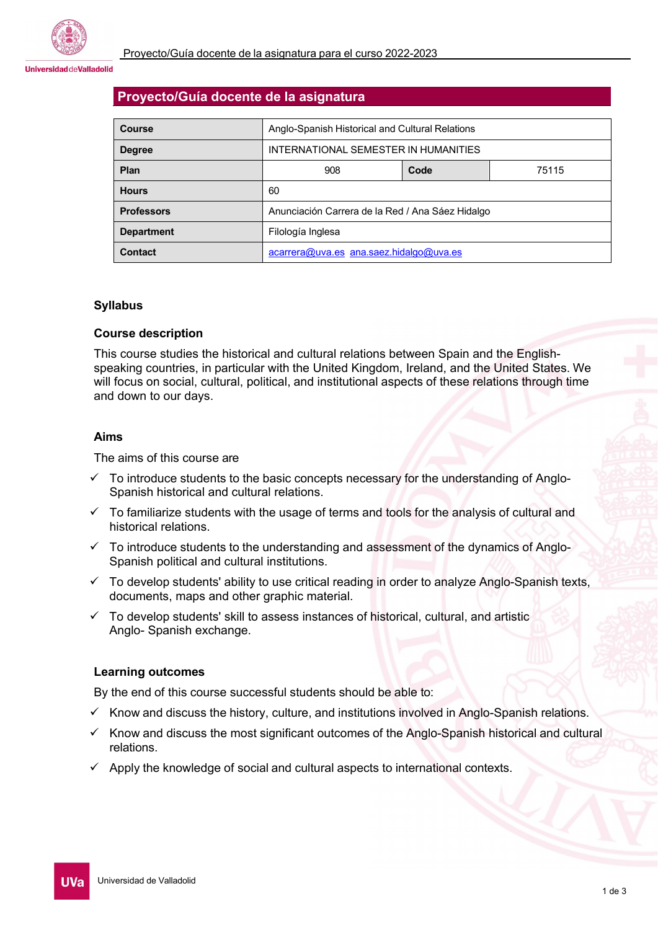#### **Universidad deValladolid**

## **Proyecto/Guía docente de la asignatura**

| Course            | Anglo-Spanish Historical and Cultural Relations  |      |       |
|-------------------|--------------------------------------------------|------|-------|
| <b>Degree</b>     | INTERNATIONAL SEMESTER IN HUMANITIES             |      |       |
| <b>Plan</b>       | 908                                              | Code | 75115 |
| <b>Hours</b>      | 60                                               |      |       |
| <b>Professors</b> | Anunciación Carrera de la Red / Ana Sáez Hidalgo |      |       |
| <b>Department</b> | Filología Inglesa                                |      |       |
| <b>Contact</b>    | $acarrera@uva.es$ ana.saez.hidalgo@uva.es        |      |       |

## **Syllabus**

## **Course description**

This course studies the historical and cultural relations between Spain and the Englishspeaking countries, in particular with the United Kingdom, Ireland, and the United States. We will focus on social, cultural, political, and institutional aspects of these relations through time and down to our days.

### **Aims**

The aims of this course are

- $\checkmark$  To introduce students to the basic concepts necessary for the understanding of Anglo-Spanish historical and cultural relations.
- $\checkmark$  To familiarize students with the usage of terms and tools for the analysis of cultural and historical relations.
- $\checkmark$  To introduce students to the understanding and assessment of the dynamics of Anglo-Spanish political and cultural institutions.
- $\checkmark$  To develop students' ability to use critical reading in order to analyze Anglo-Spanish texts, documents, maps and other graphic material.
- $\checkmark$  To develop students' skill to assess instances of historical, cultural, and artistic Anglo- Spanish exchange.

### **Learning outcomes**

By the end of this course successful students should be able to:

- $\checkmark$  Know and discuss the history, culture, and institutions involved in Anglo-Spanish relations.
- $\checkmark$  Know and discuss the most significant outcomes of the Anglo-Spanish historical and cultural relations.
- $\checkmark$  Apply the knowledge of social and cultural aspects to international contexts.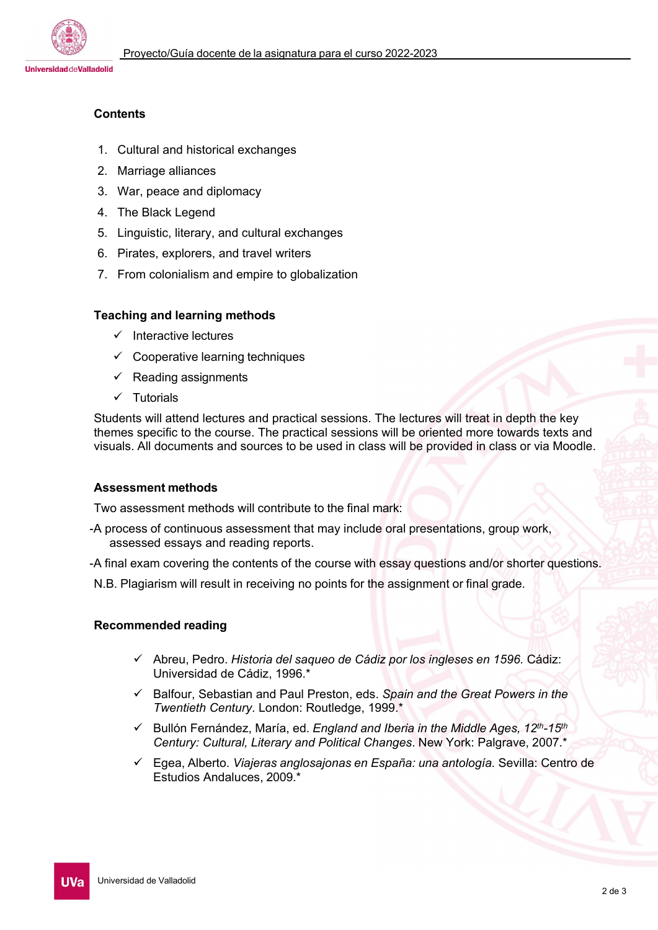

# **Contents**

- 1. Cultural and historical exchanges
- 2. Marriage alliances
- 3. War, peace and diplomacy
- 4. The Black Legend
- 5. Linguistic, literary, and cultural exchanges
- 6. Pirates, explorers, and travel writers
- 7. From colonialism and empire to globalization

## **Teaching and learning methods**

- $\checkmark$  Interactive lectures
- $\checkmark$  Cooperative learning techniques
- $\checkmark$  Reading assignments
- $\checkmark$  Tutorials

Students will attend lectures and practical sessions. The lectures will treat in depth the key themes specific to the course. The practical sessions will be oriented more towards texts and visuals. All documents and sources to be used in class will be provided in class or via Moodle.

## **Assessment methods**

Two assessment methods will contribute to the final mark:

- -A process of continuous assessment that may include oral presentations, group work, assessed essays and reading reports.
- -A final exam covering the contents of the course with essay questions and/or shorter questions.
- N.B. Plagiarism will result in receiving no points for the assignment or final grade.

## **Recommended reading**

- Abreu, Pedro. *Historia del saqueo de Cádiz por los ingleses en 1596.* Cádiz: Universidad de Cádiz, 1996.\*
- Balfour, Sebastian and Paul Preston, eds. *Spain and the Great Powers in the Twentieth Century*. London: Routledge, 1999.\*
- Bullón Fernández, María, ed. *England and Iberia in the Middle Ages, 12th-15th Century: Cultural, Literary and Political Changes*. New York: Palgrave, 2007.\*
- Egea, Alberto. *Viajeras anglosajonas en España: una antología.* Sevilla: Centro de Estudios Andaluces, 2009.\*